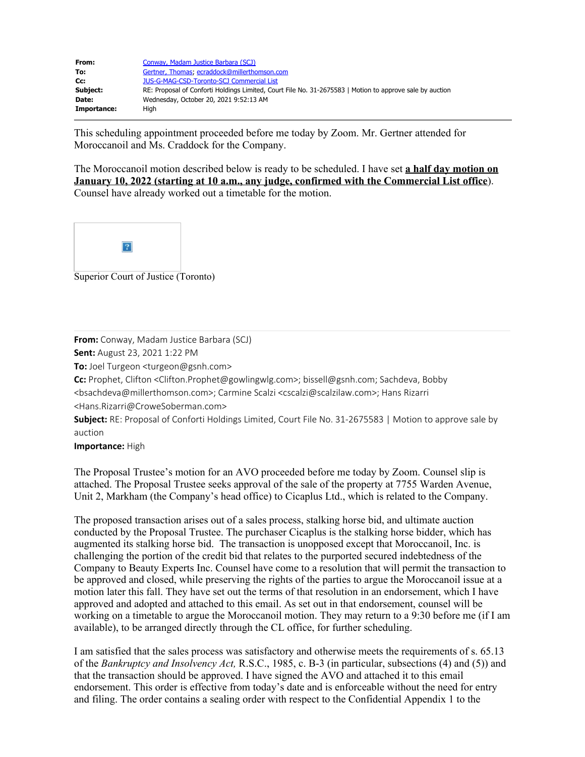| From:       | Conway, Madam Justice Barbara (SCJ)                                                                      |
|-------------|----------------------------------------------------------------------------------------------------------|
| To:         | Gertner, Thomas: ecraddock@millerthomson.com                                                             |
| Cc:         | <b>JUS-G-MAG-CSD-Toronto-SCJ Commercial List</b>                                                         |
| Subject:    | RE: Proposal of Conforti Holdings Limited, Court File No. 31-2675583   Motion to approve sale by auction |
| Date:       | Wednesday, October 20, 2021 9:52:13 AM                                                                   |
| Importance: | Hiah                                                                                                     |

This scheduling appointment proceeded before me today by Zoom. Mr. Gertner attended for Moroccanoil and Ms. Craddock for the Company.

The Moroccanoil motion described below is ready to be scheduled. I have set **a half day motion on January 10, 2022 (starting at 10 a.m., any judge, confirmed with the Commercial List office**). Counsel have already worked out a timetable for the motion.



Superior Court of Justice (Toronto)

**From:** Conway, Madam Justice Barbara (SCJ)

**Sent:** August 23, 2021 1:22 PM

**To:** Joel Turgeon <turgeon@gsnh.com>

**Cc:** Prophet, Clifton <Clifton.Prophet@gowlingwlg.com>; bissell@gsnh.com; Sachdeva, Bobby

<bsachdeva@millerthomson.com>; Carmine Scalzi <cscalzi@scalzilaw.com>; Hans Rizarri <Hans.Rizarri@CroweSoberman.com>

**Subject:** RE: Proposal of Conforti Holdings Limited, Court File No. 31-2675583 | Motion to approve sale by auction

**Importance:** High

The Proposal Trustee's motion for an AVO proceeded before me today by Zoom. Counsel slip is attached. The Proposal Trustee seeks approval of the sale of the property at 7755 Warden Avenue, Unit 2, Markham (the Company's head office) to Cicaplus Ltd., which is related to the Company.

The proposed transaction arises out of a sales process, stalking horse bid, and ultimate auction conducted by the Proposal Trustee. The purchaser Cicaplus is the stalking horse bidder, which has augmented its stalking horse bid. The transaction is unopposed except that Moroccanoil, Inc. is challenging the portion of the credit bid that relates to the purported secured indebtedness of the Company to Beauty Experts Inc. Counsel have come to a resolution that will permit the transaction to be approved and closed, while preserving the rights of the parties to argue the Moroccanoil issue at a motion later this fall. They have set out the terms of that resolution in an endorsement, which I have approved and adopted and attached to this email. As set out in that endorsement, counsel will be working on a timetable to argue the Moroccanoil motion. They may return to a 9:30 before me (if I am available), to be arranged directly through the CL office, for further scheduling.

I am satisfied that the sales process was satisfactory and otherwise meets the requirements of s. 65.13 of the *Bankruptcy and Insolvency Act,* R.S.C., 1985, c. B-3 (in particular, subsections (4) and (5)) and that the transaction should be approved. I have signed the AVO and attached it to this email endorsement. This order is effective from today's date and is enforceable without the need for entry and filing. The order contains a sealing order with respect to the Confidential Appendix 1 to the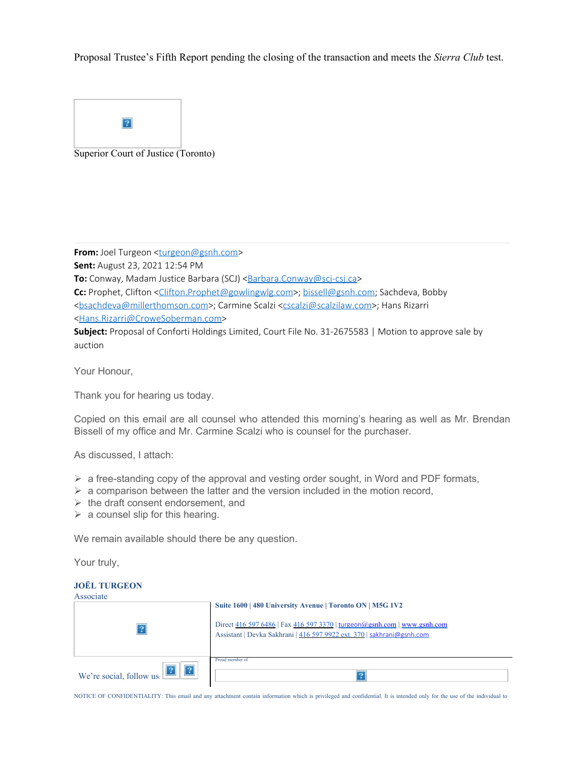Proposal Trustee's Fifth Report pending the closing of the transaction and meets the *Sierra Club* test.



**From:** Joel Turgeon [<turgeon@gsnh.com](mailto:turgeon@gsnh.com)> **Sent:** August 23, 2021 12:54 PM **To:** Conway, Madam Justice Barbara (SCJ) [<Barbara.Conway@scj-csj.ca>](mailto:Barbara.Conway@scj-csj.ca) **Cc:** Prophet, Clifton [<Clifton.Prophet@gowlingwlg.com](mailto:Clifton.Prophet@gowlingwlg.com)>; [bissell@gsnh.com](mailto:bissell@gsnh.com); Sachdeva, Bobby [<bsachdeva@millerthomson.com](mailto:bsachdeva@millerthomson.com)>; Carmine Scalzi [<cscalzi@scalzilaw.com](mailto:cscalzi@scalzilaw.com)>; Hans Rizarri [<Hans.Rizarri@CroweSoberman.com](mailto:Hans.Rizarri@CroweSoberman.com)> **Subject:** Proposal of Conforti Holdings Limited, Court File No. 31-2675583 | Motion to approve sale by auction

Your Honour,

Thank you for hearing us today.

Copied on this email are all counsel who attended this morning's hearing as well as Mr. Brendan Bissell of my office and Mr. Carmine Scalzi who is counsel for the purchaser.

As discussed, I attach:

- $\triangleright$  a free-standing copy of the approval and vesting order sought, in Word and PDF formats,
- $\triangleright$  a comparison between the latter and the version included in the motion record,
- $\triangleright$  the draft consent endorsement, and
- $\triangleright$  a counsel slip for this hearing.

We remain available should there be any question.

Your truly,

## **JOËL TURGEON**

| Associate                |                                                                                                                                                            |
|--------------------------|------------------------------------------------------------------------------------------------------------------------------------------------------------|
|                          | Suite 1600   480 University Avenue   Toronto ON   M5G 1V2                                                                                                  |
|                          | Direct $416\,597\,6486$   Fax $416\,597\,3370$   turgeon@gsnh.com   www.gsnh.com<br>Assistant   Devka Sakhrani   416 597 9922 ext. 370   sakhrani@gsnh.com |
| We're social, follow us: | Proud member of                                                                                                                                            |

NOTICE OF CONFIDENTIALITY: This email and any attachment contain information which is privileged and confidential. It is intended only for the use of the individual to